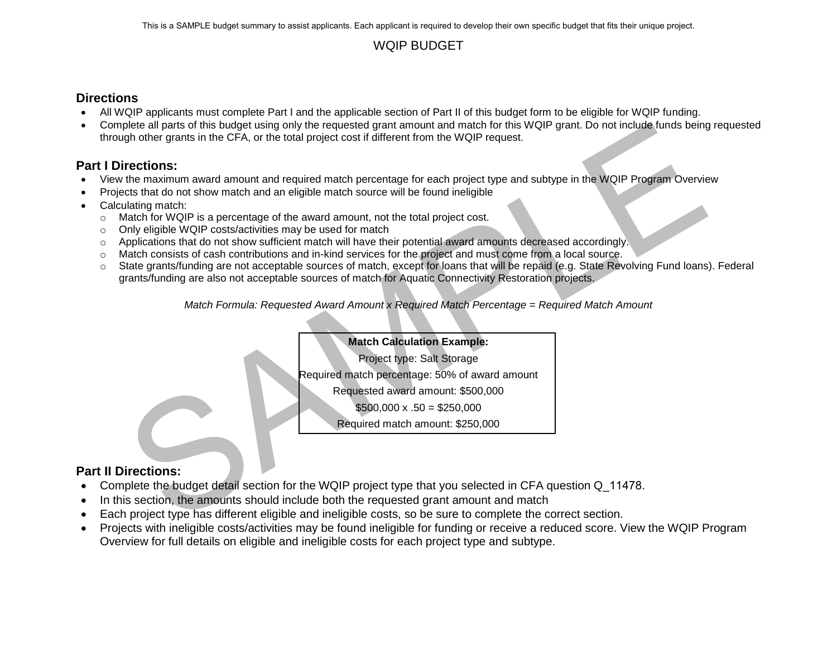### WQIP BUDGET

### **Directions**

- All WQIP applicants must complete Part I and the applicable section of Part II of this budget form to be eligible for WQIP funding.
- Complete all parts of this budget using only the requested grant amount and match for this WQIP grant. Do not include funds being requested through other grants in the CFA, or the total project cost if different from the WQIP request.

### **Part I Directions:**

- View the maximum award amount and required match percentage for each project type and subtype in the WQIP Program Overview
- Projects that do not show match and an eligible match source will be found ineligible
- Calculating match:
	- $\circ$  Match for WQIP is a percentage of the award amount, not the total project cost.
	- o Only eligible WQIP costs/activities may be used for match
	- o Applications that do not show sufficient match will have their potential award amounts decreased accordingly.
	- o Match consists of cash contributions and in-kind services for the project and must come from a local source.
- plete all parts of this budget using only the requested part amount and match for this WOIP grant. Do not include tunds being<br>the different moment and required match for the total project cost if different from the WOIP re o State grants/funding are not acceptable sources of match, except for loans that will be repaid (e.g. State Revolving Fund loans). Federal grants/funding are also not acceptable sources of match for Aquatic Connectivity Restoration projects.

*Match Formula: Requested Award Amount x Required Match Percentage = Required Match Amount*

### **Match Calculation Example:**

Project type: Salt Storage

Required match percentage: 50% of award amount

Requested award amount: \$500,000

 $$500,000 \times .50 = $250,000$ 

Required match amount: \$250,000

### **Part II Directions:**

- Complete the budget detail section for the WQIP project type that you selected in CFA question Q 11478.
- In this section, the amounts should include both the requested grant amount and match
- Each project type has different eligible and ineligible costs, so be sure to complete the correct section.
- Projects with ineligible costs/activities may be found ineligible for funding or receive a reduced score. View the WQIP Program Overview for full details on eligible and ineligible costs for each project type and subtype.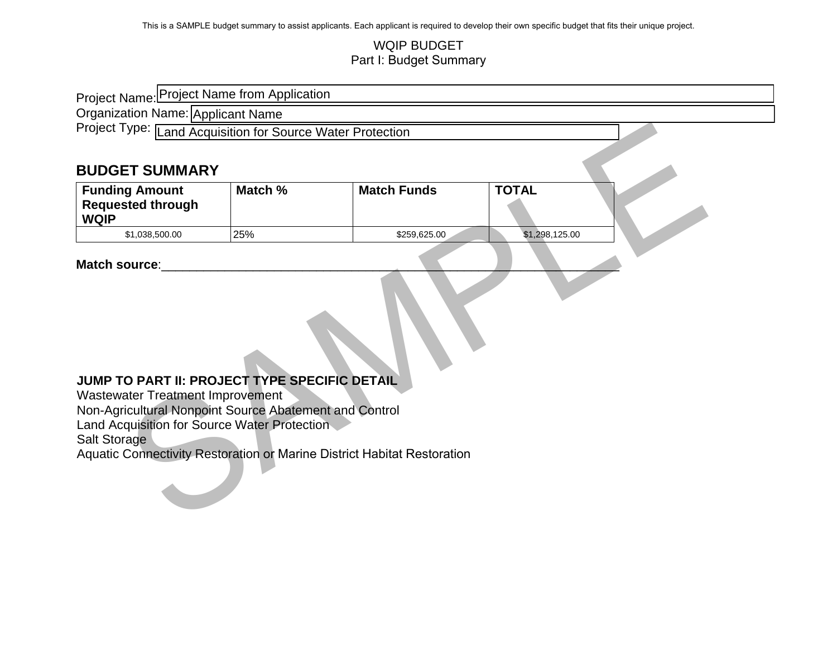### WQIP BUDGET Part I: Budget Summary

| Project Name: Project Name from Application                                                                                                                                                                                                                                                                    |         |                    |                |  |  |  |
|----------------------------------------------------------------------------------------------------------------------------------------------------------------------------------------------------------------------------------------------------------------------------------------------------------------|---------|--------------------|----------------|--|--|--|
| Organization Name: Applicant Name                                                                                                                                                                                                                                                                              |         |                    |                |  |  |  |
| Project Type: Land Acquisition for Source Water Protection                                                                                                                                                                                                                                                     |         |                    |                |  |  |  |
|                                                                                                                                                                                                                                                                                                                |         |                    |                |  |  |  |
| <b>BUDGET SUMMARY</b>                                                                                                                                                                                                                                                                                          |         |                    |                |  |  |  |
| <b>Funding Amount</b>                                                                                                                                                                                                                                                                                          | Match % | <b>Match Funds</b> | <b>TOTAL</b>   |  |  |  |
| <b>Requested through</b><br><b>WQIP</b>                                                                                                                                                                                                                                                                        |         |                    |                |  |  |  |
| \$1,038,500.00                                                                                                                                                                                                                                                                                                 | 25%     | \$259,625.00       | \$1,298,125.00 |  |  |  |
| Match source:<br>JUMP TO PART II: PROJECT TYPE SPECIFIC DETAIL<br><b>Wastewater Treatment Improvement</b><br>Non-Agricultural Nonpoint Source Abatement and Control<br>Land Acquisition for Source Water Protection<br>Salt Storage<br>Aquatic Connectivity Restoration or Marine District Habitat Restoration |         |                    |                |  |  |  |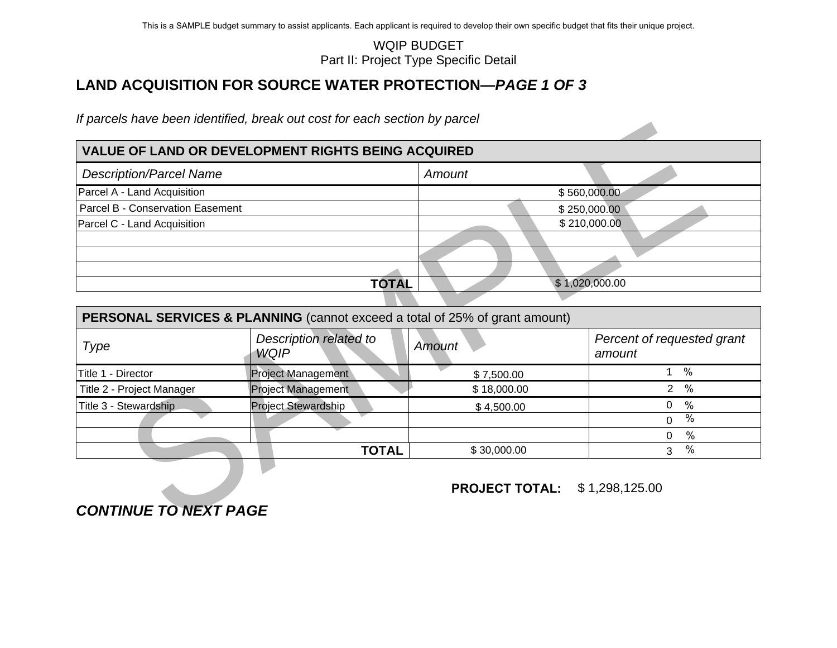### **VALUE OF LAND OR DEVELOPMENT RIGHTS BEING ACQUIRED**

| <b>Description/Parcel Name</b>   |              | Amount |                |
|----------------------------------|--------------|--------|----------------|
| Parcel A - Land Acquisition      |              |        | \$560,000.00   |
| Parcel B - Conservation Easement |              |        | \$250,000.00   |
| Parcel C - Land Acquisition      |              |        | \$210,000.00   |
|                                  |              |        |                |
|                                  |              |        |                |
|                                  |              |        |                |
|                                  | <b>TOTAL</b> |        | \$1,020,000.00 |

<span id="page-2-0"></span>

|                                  |                                                                             | <b>WQIP BUDGET</b><br>Part II: Project Type Specific Detail |                                      |
|----------------------------------|-----------------------------------------------------------------------------|-------------------------------------------------------------|--------------------------------------|
|                                  | <b>LAND ACQUISITION FOR SOURCE WATER PROTECTION—PAGE 1 OF 3</b>             |                                                             |                                      |
|                                  | If parcels have been identified, break out cost for each section by parcel  |                                                             |                                      |
|                                  | <b>VALUE OF LAND OR DEVELOPMENT RIGHTS BEING ACQUIRED</b>                   |                                                             |                                      |
| <b>Description/Parcel Name</b>   |                                                                             | Amount                                                      |                                      |
| Parcel A - Land Acquisition      |                                                                             |                                                             | \$560,000.00                         |
| Parcel B - Conservation Easement |                                                                             |                                                             | \$250,000.00                         |
| Parcel C - Land Acquisition      |                                                                             |                                                             | \$210,000.00                         |
|                                  |                                                                             |                                                             |                                      |
|                                  |                                                                             |                                                             |                                      |
|                                  |                                                                             |                                                             |                                      |
|                                  | <b>TOTAL</b>                                                                |                                                             | \$1,020,000.00                       |
|                                  | PERSONAL SERVICES & PLANNING (cannot exceed a total of 25% of grant amount) |                                                             |                                      |
| <b>Type</b>                      | Description related to<br><b>WQIP</b>                                       | <b>Amount</b>                                               | Percent of requested grant<br>amount |
| Title 1 - Director               | Project Management                                                          | \$7,500.00                                                  | $\frac{0}{0}$<br>$1^{\degree}$       |
| Title 2 - Project Manager        | <b>Project Management</b>                                                   | \$18,000.00                                                 | 2 <sup>1</sup><br>$\frac{0}{0}$      |
| Title 3 - Stewardship            | <b>Project Stewardship</b>                                                  | \$4,500.00                                                  | $\mathbf 0$<br>$\%$                  |
|                                  |                                                                             |                                                             | $\frac{0}{0}$<br>$\mathbf{0}$        |
|                                  |                                                                             |                                                             | $\%$<br>0                            |
|                                  | <b>TOTAL</b>                                                                | \$30,000.00                                                 | $\%$<br>3                            |
| <b>CONTINUE TO NEXT PAGE</b>     |                                                                             | <b>PROJECT TOTAL:</b>                                       | \$1,298,125.00                       |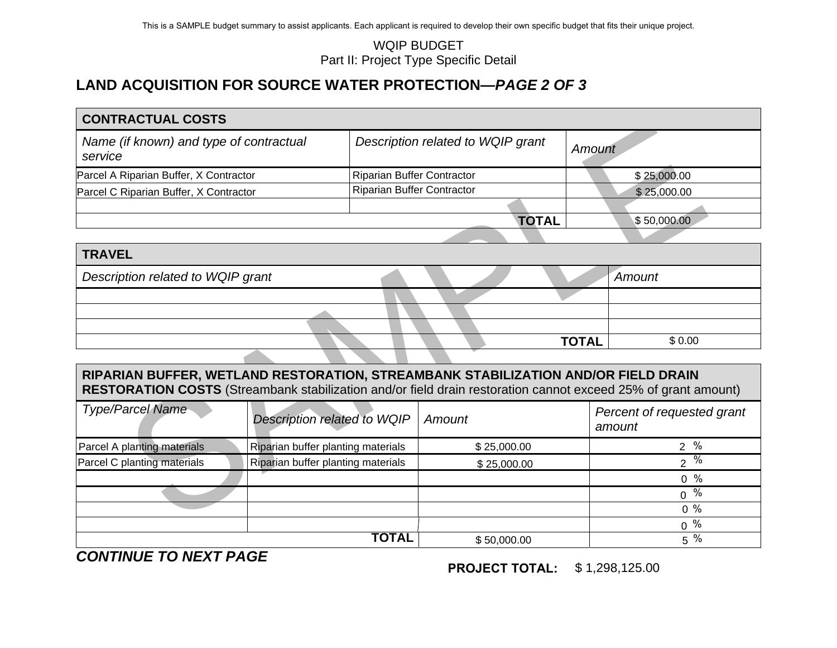| Name (if known) and type of contractual |                                                                                                         |                                                                                                                                | Amount                                                                                                                                                                                                                                                                                                                                                                   |
|-----------------------------------------|---------------------------------------------------------------------------------------------------------|--------------------------------------------------------------------------------------------------------------------------------|--------------------------------------------------------------------------------------------------------------------------------------------------------------------------------------------------------------------------------------------------------------------------------------------------------------------------------------------------------------------------|
| Parcel A Riparian Buffer, X Contractor  |                                                                                                         |                                                                                                                                | \$25,000.00                                                                                                                                                                                                                                                                                                                                                              |
| Parcel C Riparian Buffer, X Contractor  |                                                                                                         |                                                                                                                                | \$25,000.00                                                                                                                                                                                                                                                                                                                                                              |
|                                         |                                                                                                         |                                                                                                                                |                                                                                                                                                                                                                                                                                                                                                                          |
|                                         |                                                                                                         |                                                                                                                                | \$50,000.00                                                                                                                                                                                                                                                                                                                                                              |
|                                         |                                                                                                         |                                                                                                                                |                                                                                                                                                                                                                                                                                                                                                                          |
|                                         |                                                                                                         |                                                                                                                                |                                                                                                                                                                                                                                                                                                                                                                          |
| Description related to WQIP grant       |                                                                                                         |                                                                                                                                | Amount                                                                                                                                                                                                                                                                                                                                                                   |
|                                         |                                                                                                         |                                                                                                                                |                                                                                                                                                                                                                                                                                                                                                                          |
|                                         |                                                                                                         |                                                                                                                                |                                                                                                                                                                                                                                                                                                                                                                          |
|                                         |                                                                                                         |                                                                                                                                |                                                                                                                                                                                                                                                                                                                                                                          |
|                                         |                                                                                                         |                                                                                                                                | \$0.00                                                                                                                                                                                                                                                                                                                                                                   |
|                                         |                                                                                                         |                                                                                                                                |                                                                                                                                                                                                                                                                                                                                                                          |
|                                         |                                                                                                         |                                                                                                                                |                                                                                                                                                                                                                                                                                                                                                                          |
|                                         | Amount                                                                                                  |                                                                                                                                | Percent of requested grant<br>amount                                                                                                                                                                                                                                                                                                                                     |
|                                         |                                                                                                         |                                                                                                                                | $2 \frac{9}{6}$                                                                                                                                                                                                                                                                                                                                                          |
|                                         |                                                                                                         |                                                                                                                                | $2\sqrt[9]{6}$                                                                                                                                                                                                                                                                                                                                                           |
|                                         |                                                                                                         |                                                                                                                                | $0\%$                                                                                                                                                                                                                                                                                                                                                                    |
|                                         |                                                                                                         |                                                                                                                                | $0 \frac{9}{6}$                                                                                                                                                                                                                                                                                                                                                          |
|                                         |                                                                                                         |                                                                                                                                | $0\%$                                                                                                                                                                                                                                                                                                                                                                    |
|                                         | Description related to WQIP<br>Riparian buffer planting materials<br>Riparian buffer planting materials | <b>WQIP BUDGET</b><br>Part II: Project Type Specific Detail<br><b>Riparian Buffer Contractor</b><br>Riparian Buffer Contractor | <b>LAND ACQUISITION FOR SOURCE WATER PROTECTION-PAGE 2 OF 3</b><br>Description related to WQIP grant<br><b>TOTAL</b><br><b>TOTAL</b><br>RIPARIAN BUFFER, WETLAND RESTORATION, STREAMBANK STABILIZATION AND/OR FIELD DRAIN<br>RESTORATION COSTS (Streambank stabilization and/or field drain restoration cannot exceed 25% of grant amount)<br>\$25,000.00<br>\$25,000.00 |

| <b>TRAVEL</b>                     |  |              |        |
|-----------------------------------|--|--------------|--------|
| Description related to WQIP grant |  |              | Amount |
|                                   |  |              |        |
|                                   |  |              |        |
|                                   |  |              |        |
|                                   |  | <b>TOTAL</b> | \$0.00 |

# **RIPARIAN BUFFER, WETLAND RESTORATION, STREAMBANK STABILIZATION AND/OR FIELD DRAIN RESTORATION COSTS** (Streambank stabilization and/or field drain restoration cannot exceed 25% of grant amount)

| <b>Type/Parcel Name</b>     | Description related to WQIP        | Amount      | Percent of requested grant<br>amount |
|-----------------------------|------------------------------------|-------------|--------------------------------------|
| Parcel A planting materials | Riparian buffer planting materials | \$25,000.00 | %<br>$\overline{2}$                  |
| Parcel C planting materials | Riparian buffer planting materials | \$25,000.00 | $\%$<br>⌒                            |
|                             |                                    |             | $0\%$                                |
|                             |                                    |             | %<br>$\Omega$                        |
|                             |                                    |             | $0\%$                                |
|                             |                                    |             | %<br>$\Omega$                        |
|                             | TOTAL                              | \$50,000.00 | $\%$<br>5                            |

*CONTINUE TO NEXT PAGE* 

**PROJECT TOTAL:**\$ 1,298,125.00